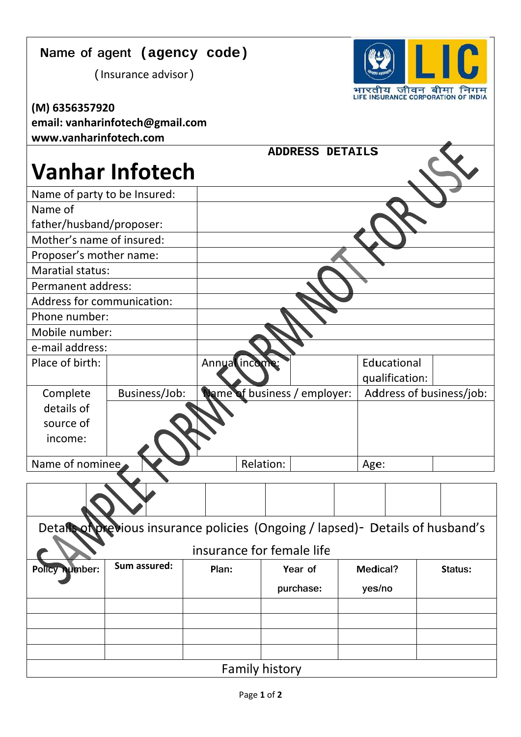## Name of agent (agency code)

(Insurance advisor)



**ADDRESS DETAILS** 

| www.vanharinfotech.com          |
|---------------------------------|
| email: vanharinfotech@gmail.com |
| (M) 6356357920                  |

## **Vanhar Infotech**

| Name of party to be Insured: |                                                                                  |           |                              |                           |                 |  |                          |                |  |  |
|------------------------------|----------------------------------------------------------------------------------|-----------|------------------------------|---------------------------|-----------------|--|--------------------------|----------------|--|--|
| Name of                      |                                                                                  |           |                              |                           |                 |  |                          |                |  |  |
| father/husband/proposer:     |                                                                                  |           |                              |                           |                 |  |                          |                |  |  |
| Mother's name of insured:    |                                                                                  |           |                              |                           |                 |  |                          |                |  |  |
| Proposer's mother name:      |                                                                                  |           |                              |                           |                 |  |                          |                |  |  |
| <b>Maratial status:</b>      |                                                                                  |           |                              |                           |                 |  |                          |                |  |  |
| Permanent address:           |                                                                                  |           |                              |                           |                 |  |                          |                |  |  |
| Address for communication:   |                                                                                  |           |                              |                           |                 |  |                          |                |  |  |
| Phone number:                |                                                                                  |           |                              |                           |                 |  |                          |                |  |  |
| Mobile number:               |                                                                                  |           |                              |                           |                 |  |                          |                |  |  |
| e-mail address:              |                                                                                  |           |                              |                           |                 |  |                          |                |  |  |
| Place of birth:              |                                                                                  |           | Annualincome:                |                           |                 |  | Educational              |                |  |  |
|                              |                                                                                  |           |                              |                           |                 |  |                          | qualification: |  |  |
| Complete                     | Business/Job:                                                                    |           | Name of business / employer: |                           |                 |  | Address of business/job: |                |  |  |
| details of                   |                                                                                  |           |                              |                           |                 |  |                          |                |  |  |
| source of                    |                                                                                  |           |                              |                           |                 |  |                          |                |  |  |
| income:                      |                                                                                  |           |                              |                           |                 |  |                          |                |  |  |
| Name of nominee              |                                                                                  | Relation: |                              |                           | Age:            |  |                          |                |  |  |
|                              |                                                                                  |           |                              |                           |                 |  |                          |                |  |  |
|                              |                                                                                  |           |                              |                           |                 |  |                          |                |  |  |
|                              |                                                                                  |           |                              |                           |                 |  |                          |                |  |  |
|                              | Details of previous insurance policies (Ongoing / lapsed) - Details of husband's |           |                              |                           |                 |  |                          |                |  |  |
|                              |                                                                                  |           |                              | insurance for female life |                 |  |                          |                |  |  |
| Policy number:               | Sum assured:                                                                     |           | Year of<br>Plan:             |                           | <b>Medical?</b> |  | Status:                  |                |  |  |
|                              |                                                                                  |           |                              |                           | purchase:       |  | yes/no                   |                |  |  |
|                              |                                                                                  |           |                              |                           |                 |  |                          |                |  |  |
|                              |                                                                                  |           |                              |                           |                 |  |                          |                |  |  |
|                              |                                                                                  |           |                              |                           |                 |  |                          |                |  |  |
|                              |                                                                                  |           |                              |                           |                 |  |                          |                |  |  |
| <b>Family history</b>        |                                                                                  |           |                              |                           |                 |  |                          |                |  |  |